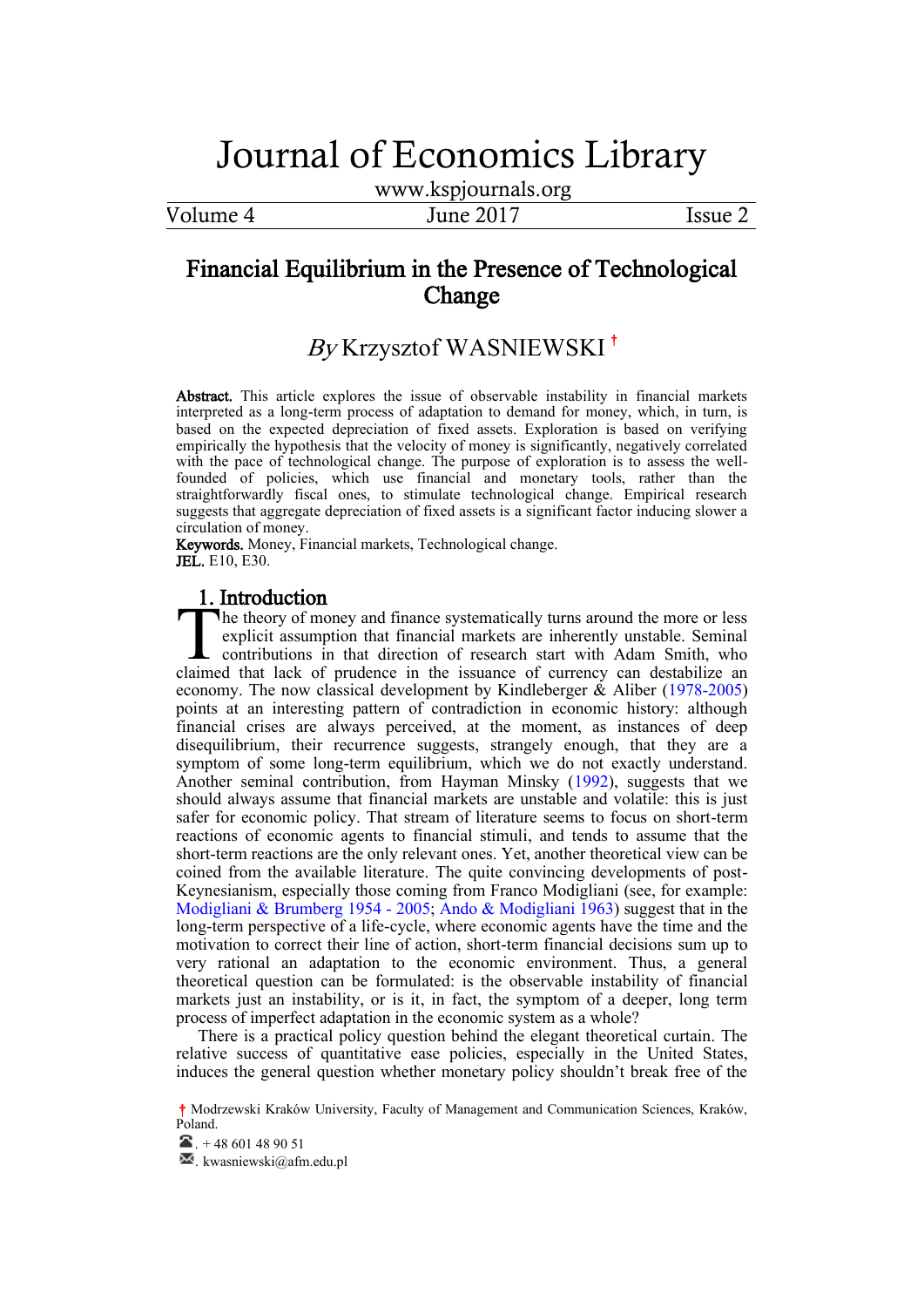www.kspjournals.org

Volume 4 June 2017 Issue 2

## Financial Equilibrium in the Presence of Technological Change

## $By$ Krzysztof WASNIEWSKI<sup>†</sup>

Abstract. This article explores the issue of observable instability in financial markets interpreted as a long-term process of adaptation to demand for money, which, in turn, is based on the expected depreciation of fixed assets. Exploration is based on verifying empirically the hypothesis that the velocity of money is significantly, negatively correlated with the pace of technological change. The purpose of exploration is to assess the wellfounded of policies, which use financial and monetary tools, rather than the straightforwardly fiscal ones, to stimulate technological change. Empirical research suggests that aggregate depreciation of fixed assets is a significant factor inducing slower a circulation of money.

Keywords. Money, Financial markets, Technological change. JEL. E10, E30.

1. Introduction here theory of money and finance systematically turns around the more or less explicit assumption that financial markets are inherently unstable. Seminal contributions in that direction of research start with Adam Smith, who The theory of money and finance systematically turns around the more or less explicit assumption that financial markets are inherently unstable. Seminal contributions in that direction of research start with Adam Smith, wh economy. The now classical development by Kindleberger & Aliber (1978-2005) points at an interesting pattern of contradiction in economic history: although financial crises are always perceived, at the moment, as instances of deep disequilibrium, their recurrence suggests, strangely enough, that they are a symptom of some long-term equilibrium, which we do not exactly understand. Another seminal contribution, from Hayman Minsky (1992), suggests that we should always assume that financial markets are unstable and volatile: this is just safer for economic policy. That stream of literature seems to focus on short-term reactions of economic agents to financial stimuli, and tends to assume that the short-term reactions are the only relevant ones. Yet, another theoretical view can be coined from the available literature. The quite convincing developments of post-Keynesianism, especially those coming from Franco Modigliani (see, for example: Modigliani & Brumberg 1954 - 2005; Ando & Modigliani 1963) suggest that in the long-term perspective of a life-cycle, where economic agents have the time and the motivation to correct their line of action, short-term financial decisions sum up to very rational an adaptation to the economic environment. Thus, a general theoretical question can be formulated: is the observable instability of financial markets just an instability, or is it, in fact, the symptom of a deeper, long term process of imperfect adaptation in the economic system as a whole?

There is a practical policy question behind the elegant theoretical curtain. The relative success of quantitative ease policies, especially in the United States, induces the general question whether monetary policy shouldn't break free of the

a † Modrzewski Kraków University, Faculty of Management and Communication Sciences, Kraków, Poland.

 $\bullet$ . + 48 601 48 90 51

 $\overline{\mathsf{M}}$ . kwasniewski@afm.edu.pl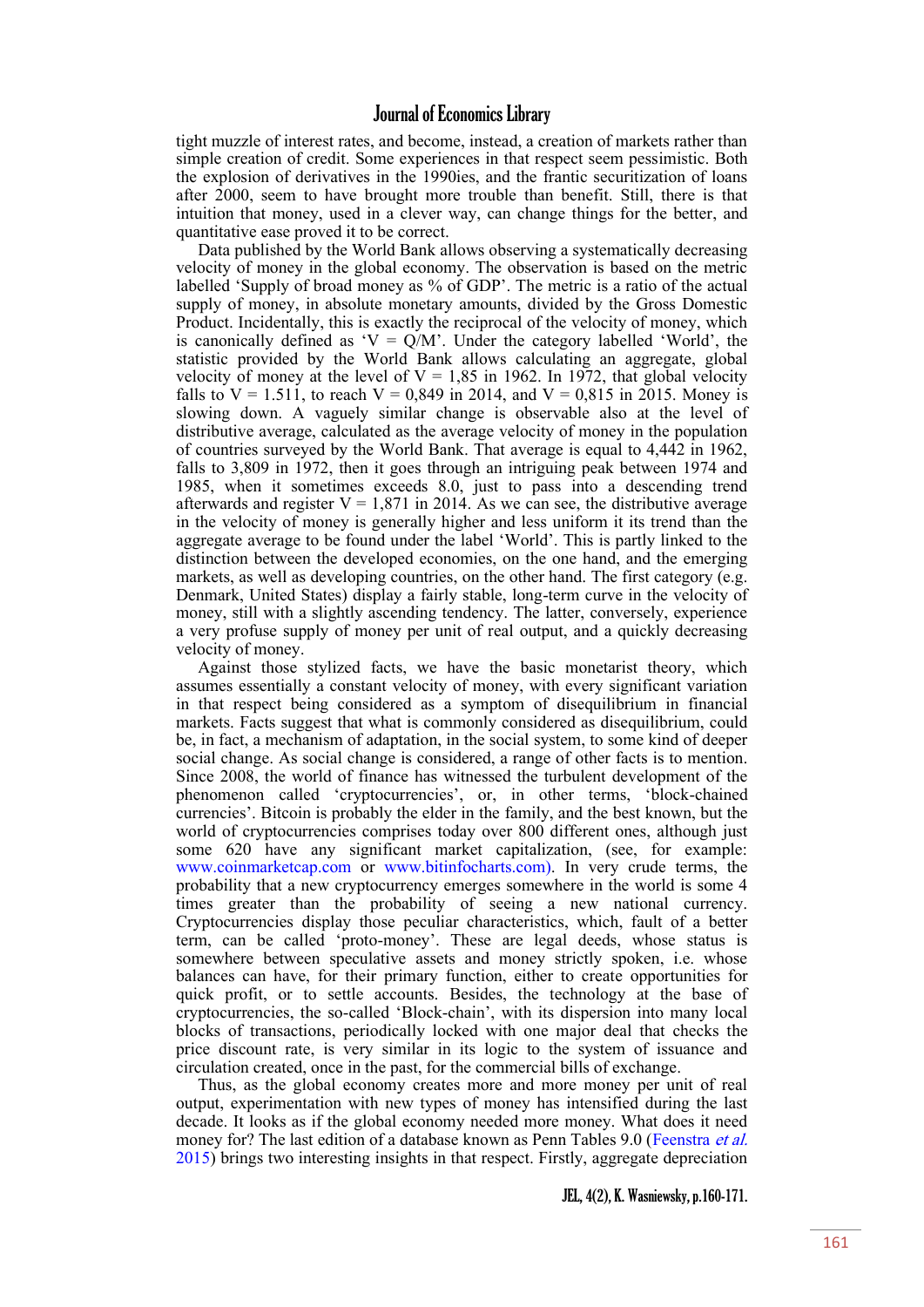tight muzzle of interest rates, and become, instead, a creation of markets rather than simple creation of credit. Some experiences in that respect seem pessimistic. Both the explosion of derivatives in the 1990ies, and the frantic securitization of loans after 2000, seem to have brought more trouble than benefit. Still, there is that intuition that money, used in a clever way, can change things for the better, and quantitative ease proved it to be correct.

Data published by the World Bank allows observing a systematically decreasing velocity of money in the global economy. The observation is based on the metric labelled 'Supply of broad money as % of GDP'. The metric is a ratio of the actual supply of money, in absolute monetary amounts, divided by the Gross Domestic Product. Incidentally, this is exactly the reciprocal of the velocity of money, which is canonically defined as 'V =  $Q/M$ '. Under the category labelled 'World', the statistic provided by the World Bank allows calculating an aggregate, global velocity of money at the level of  $V = 1,85$  in 1962. In 1972, that global velocity falls to  $V = 1.511$ , to reach  $V = 0.849$  in 2014, and  $V = 0.815$  in 2015. Money is slowing down. A vaguely similar change is observable also at the level of distributive average, calculated as the average velocity of money in the population of countries surveyed by the World Bank. That average is equal to 4,442 in 1962, falls to 3,809 in 1972, then it goes through an intriguing peak between 1974 and 1985, when it sometimes exceeds 8.0, just to pass into a descending trend afterwards and register  $V = 1.871$  in 2014. As we can see, the distributive average in the velocity of money is generally higher and less uniform it its trend than the aggregate average to be found under the label 'World'. This is partly linked to the distinction between the developed economies, on the one hand, and the emerging markets, as well as developing countries, on the other hand. The first category (e.g. Denmark, United States) display a fairly stable, long-term curve in the velocity of money, still with a slightly ascending tendency. The latter, conversely, experience a very profuse supply of money per unit of real output, and a quickly decreasing velocity of money.

Against those stylized facts, we have the basic monetarist theory, which assumes essentially a constant velocity of money, with every significant variation in that respect being considered as a symptom of disequilibrium in financial markets. Facts suggest that what is commonly considered as disequilibrium, could be, in fact, a mechanism of adaptation, in the social system, to some kind of deeper social change. As social change is considered, a range of other facts is to mention. Since 2008, the world of finance has witnessed the turbulent development of the phenomenon called 'cryptocurrencies', or, in other terms, 'block-chained currencies'. Bitcoin is probably the elder in the family, and the best known, but the world of cryptocurrencies comprises today over 800 different ones, although just some 620 have any significant market capitalization, (see, for example: www.coinmarketcap.com or www.bitinfocharts.com). In very crude terms, the probability that a new cryptocurrency emerges somewhere in the world is some 4 times greater than the probability of seeing a new national currency. Cryptocurrencies display those peculiar characteristics, which, fault of a better term, can be called 'proto-money'. These are legal deeds, whose status is somewhere between speculative assets and money strictly spoken, i.e. whose balances can have, for their primary function, either to create opportunities for quick profit, or to settle accounts. Besides, the technology at the base of cryptocurrencies, the so-called 'Block-chain', with its dispersion into many local blocks of transactions, periodically locked with one major deal that checks the price discount rate, is very similar in its logic to the system of issuance and circulation created, once in the past, for the commercial bills of exchange.

Thus, as the global economy creates more and more money per unit of real output, experimentation with new types of money has intensified during the last decade. It looks as if the global economy needed more money. What does it need money for? The last edition of a database known as Penn Tables 9.0 (Feenstra *et al.*) 2015) brings two interesting insights in that respect. Firstly, aggregate depreciation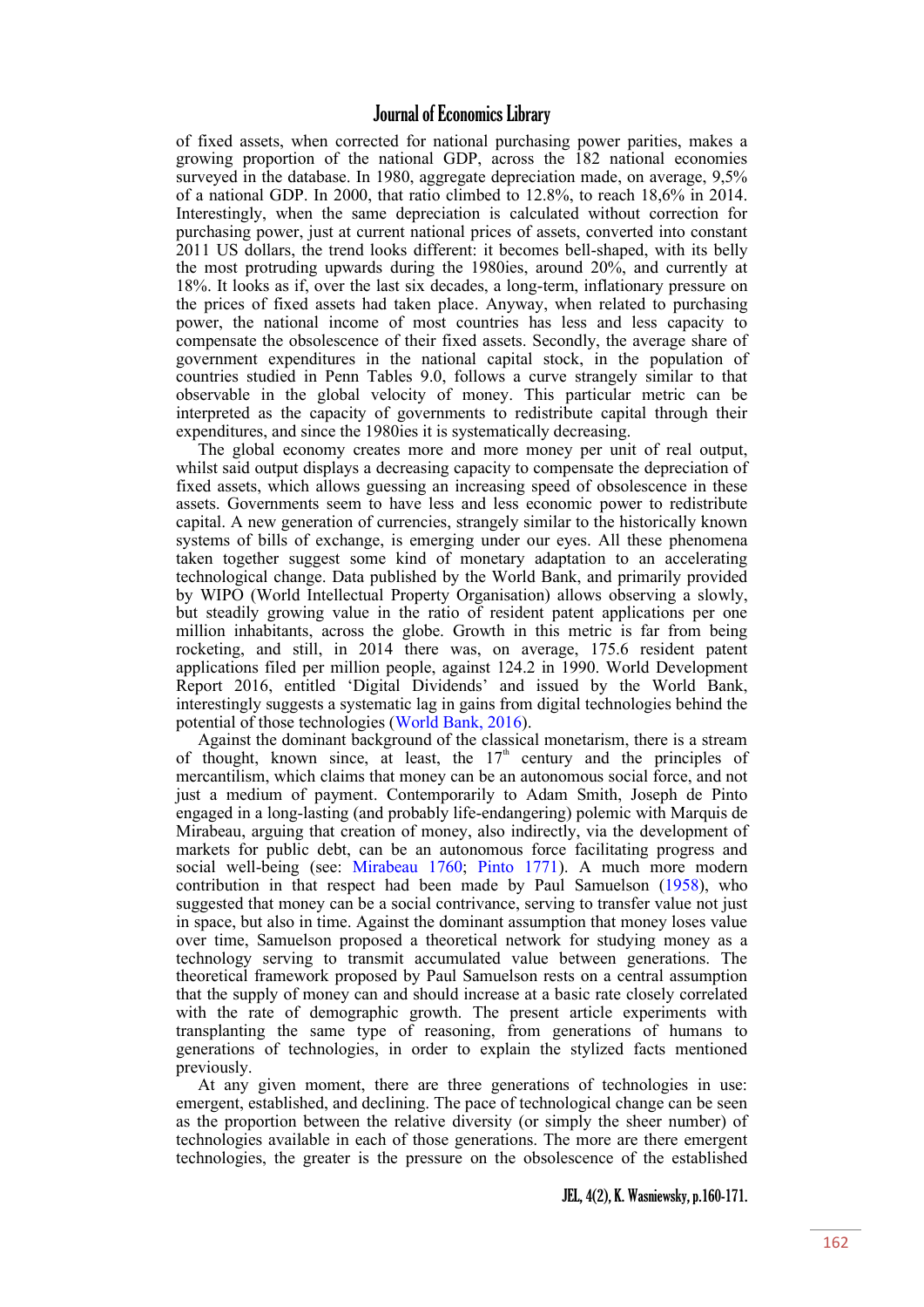of fixed assets, when corrected for national purchasing power parities, makes a growing proportion of the national GDP, across the 182 national economies surveyed in the database. In 1980, aggregate depreciation made, on average, 9,5% of a national GDP. In 2000, that ratio climbed to 12.8%, to reach 18,6% in 2014. Interestingly, when the same depreciation is calculated without correction for purchasing power, just at current national prices of assets, converted into constant 2011 US dollars, the trend looks different: it becomes bell-shaped, with its belly the most protruding upwards during the 1980ies, around 20%, and currently at 18%. It looks as if, over the last six decades, a long-term, inflationary pressure on the prices of fixed assets had taken place. Anyway, when related to purchasing power, the national income of most countries has less and less capacity to compensate the obsolescence of their fixed assets. Secondly, the average share of government expenditures in the national capital stock, in the population of countries studied in Penn Tables 9.0, follows a curve strangely similar to that observable in the global velocity of money. This particular metric can be interpreted as the capacity of governments to redistribute capital through their expenditures, and since the 1980ies it is systematically decreasing.

The global economy creates more and more money per unit of real output, whilst said output displays a decreasing capacity to compensate the depreciation of fixed assets, which allows guessing an increasing speed of obsolescence in these assets. Governments seem to have less and less economic power to redistribute capital. A new generation of currencies, strangely similar to the historically known systems of bills of exchange, is emerging under our eyes. All these phenomena taken together suggest some kind of monetary adaptation to an accelerating technological change. Data published by the World Bank, and primarily provided by WIPO (World Intellectual Property Organisation) allows observing a slowly, but steadily growing value in the ratio of resident patent applications per one million inhabitants, across the globe. Growth in this metric is far from being rocketing, and still, in 2014 there was, on average, 175.6 resident patent applications filed per million people, against 124.2 in 1990. World Development Report 2016, entitled 'Digital Dividends' and issued by the World Bank, interestingly suggests a systematic lag in gains from digital technologies behind the potential of those technologies (World Bank, 2016).

Against the dominant background of the classical monetarism, there is a stream of thought, known since, at least, the  $17<sup>th</sup>$  century and the principles of mercantilism, which claims that money can be an autonomous social force, and not just a medium of payment. Contemporarily to Adam Smith, Joseph de Pinto engaged in a long-lasting (and probably life-endangering) polemic with Marquis de Mirabeau, arguing that creation of money, also indirectly, via the development of markets for public debt, can be an autonomous force facilitating progress and social well-being (see: Mirabeau 1760; Pinto 1771). A much more modern contribution in that respect had been made by Paul Samuelson (1958), who suggested that money can be a social contrivance, serving to transfer value not just in space, but also in time. Against the dominant assumption that money loses value over time, Samuelson proposed a theoretical network for studying money as a technology serving to transmit accumulated value between generations. The theoretical framework proposed by Paul Samuelson rests on a central assumption that the supply of money can and should increase at a basic rate closely correlated with the rate of demographic growth. The present article experiments with transplanting the same type of reasoning, from generations of humans to generations of technologies, in order to explain the stylized facts mentioned previously.

At any given moment, there are three generations of technologies in use: emergent, established, and declining. The pace of technological change can be seen as the proportion between the relative diversity (or simply the sheer number) of technologies available in each of those generations. The more are there emergent technologies, the greater is the pressure on the obsolescence of the established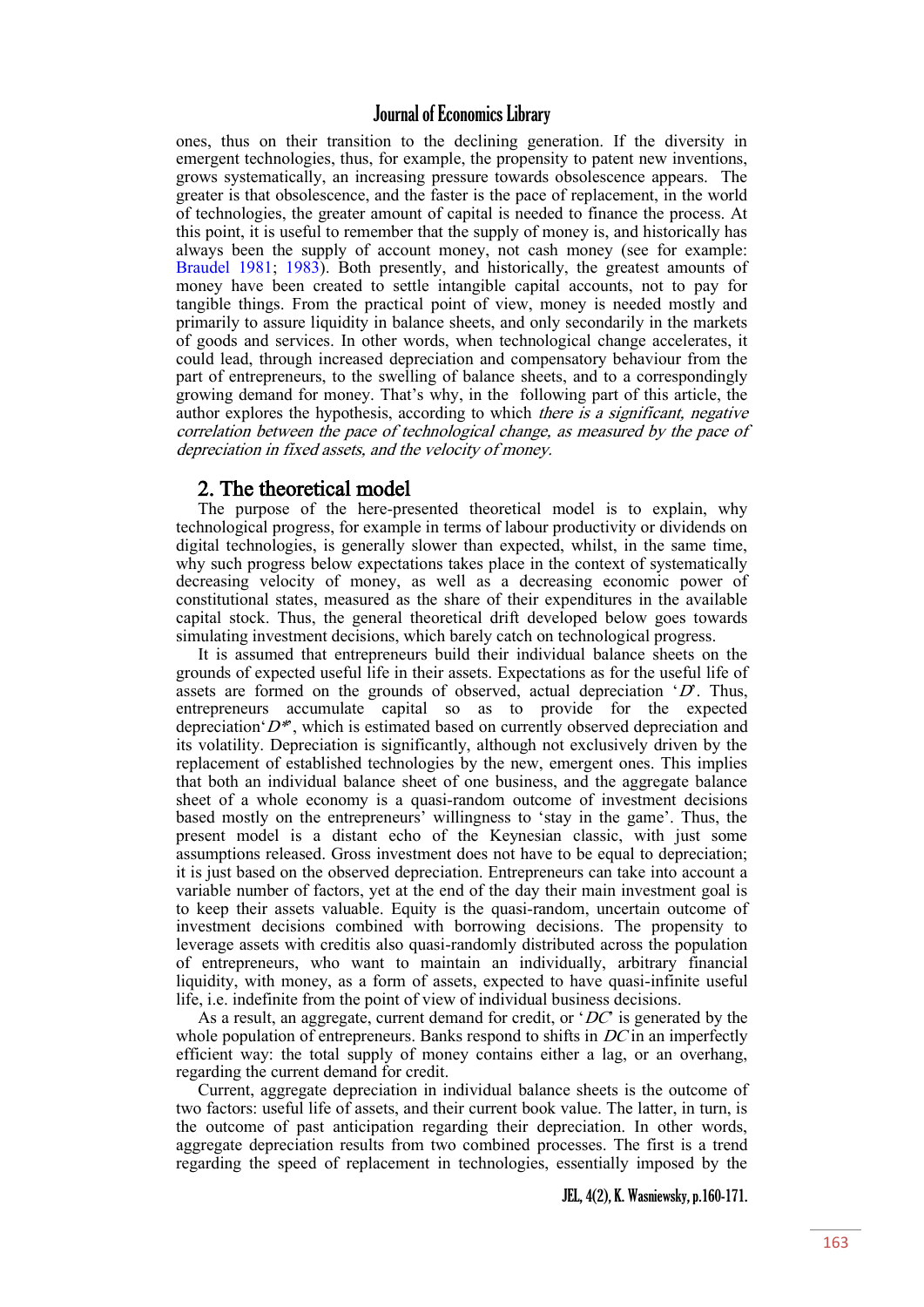ones, thus on their transition to the declining generation. If the diversity in emergent technologies, thus, for example, the propensity to patent new inventions, grows systematically, an increasing pressure towards obsolescence appears. The greater is that obsolescence, and the faster is the pace of replacement, in the world of technologies, the greater amount of capital is needed to finance the process. At this point, it is useful to remember that the supply of money is, and historically has always been the supply of account money, not cash money (see for example: Braudel 1981; 1983). Both presently, and historically, the greatest amounts of money have been created to settle intangible capital accounts, not to pay for tangible things. From the practical point of view, money is needed mostly and primarily to assure liquidity in balance sheets, and only secondarily in the markets of goods and services. In other words, when technological change accelerates, it could lead, through increased depreciation and compensatory behaviour from the part of entrepreneurs, to the swelling of balance sheets, and to a correspondingly growing demand for money. That's why, in the following part of this article, the author explores the hypothesis, according to which *there is a significant*, negative correlation between the pace of technological change, as measured by the pace of depreciation in fixed assets, and the velocity of money.

2. The theoretical model<br>The purpose of the here-presented theoretical model is to explain, why technological progress, for example in terms of labour productivity or dividends on digital technologies, is generally slower than expected, whilst, in the same time, why such progress below expectations takes place in the context of systematically decreasing velocity of money, as well as a decreasing economic power of constitutional states, measured as the share of their expenditures in the available capital stock. Thus, the general theoretical drift developed below goes towards simulating investment decisions, which barely catch on technological progress.

It is assumed that entrepreneurs build their individual balance sheets on the grounds of expected useful life in their assets. Expectations as for the useful life of assets are formed on the grounds of observed, actual depreciation  $\mathcal{D}$ . Thus, entrepreneurs accumulate capital so as to provide for the expected depreciation  $D^*$ , which is estimated based on currently observed depreciation and its volatility. Depreciation is significantly, although not exclusively driven by the replacement of established technologies by the new, emergent ones. This implies that both an individual balance sheet of one business, and the aggregate balance sheet of a whole economy is a quasi-random outcome of investment decisions based mostly on the entrepreneurs' willingness to 'stay in the game'. Thus, the present model is a distant echo of the Keynesian classic, with just some assumptions released. Gross investment does not have to be equal to depreciation; it is just based on the observed depreciation. Entrepreneurs can take into account a variable number of factors, yet at the end of the day their main investment goal is to keep their assets valuable. Equity is the quasi-random, uncertain outcome of investment decisions combined with borrowing decisions. The propensity to leverage assets with creditis also quasi-randomly distributed across the population of entrepreneurs, who want to maintain an individually, arbitrary financial liquidity, with money, as a form of assets, expected to have quasi-infinite useful life, i.e. indefinite from the point of view of individual business decisions.

As a result, an aggregate, current demand for credit, or  $^{4}DC$  is generated by the whole population of entrepreneurs. Banks respond to shifts in  $DC$  in an imperfectly efficient way: the total supply of money contains either a lag, or an overhang, regarding the current demand for credit.

Current, aggregate depreciation in individual balance sheets is the outcome of two factors: useful life of assets, and their current book value. The latter, in turn, is the outcome of past anticipation regarding their depreciation. In other words, aggregate depreciation results from two combined processes. The first is a trend regarding the speed of replacement in technologies, essentially imposed by the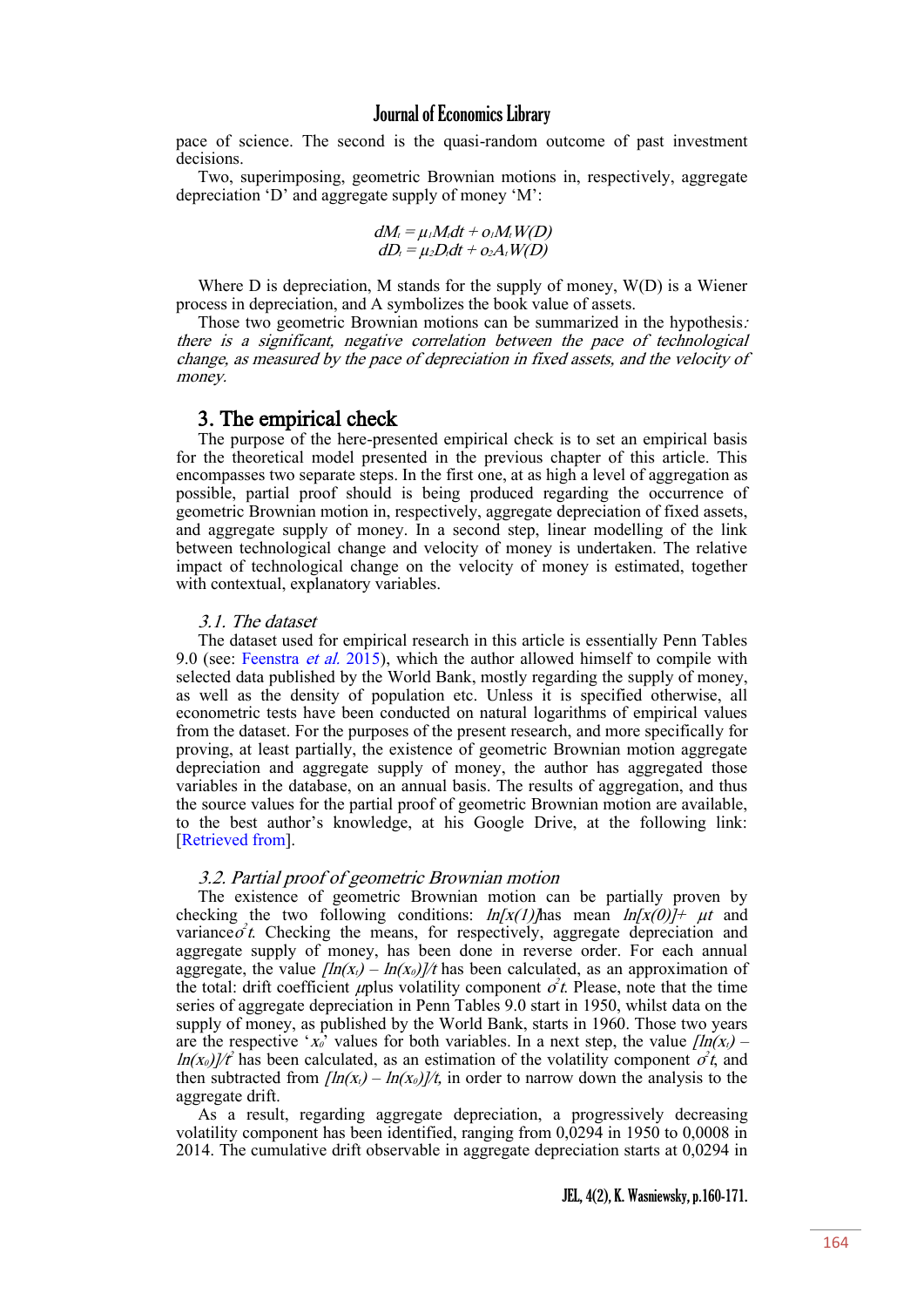pace of science. The second is the quasi-random outcome of past investment decisions.

Two, superimposing, geometric Brownian motions in, respectively, aggregate depreciation 'D' and aggregate supply of money 'M':

$$
dM_t = \mu_1 M_t dt + o_1 M_t W(D)
$$
  

$$
dD_t = \mu_2 D_t dt + o_2 A_t W(D)
$$

Where D is depreciation, M stands for the supply of money, W(D) is a Wiener process in depreciation, and A symbolizes the book value of assets.

Those two geometric Brownian motions can be summarized in the hypothesis: there is a significant, negative correlation between the pace of technological change, as measured by the pace of depreciation in fixed assets, and the velocity of money.

**3. The empirical check** The purpose of the here-presented empirical check is to set an empirical basis The purpose of the here-presented empirical check is to set an empirical basis for the theoretical model presented in the previous chapter of this article. This encompasses two separate steps. In the first one, at as high a level of aggregation as possible, partial proof should is being produced regarding the occurrence of geometric Brownian motion in, respectively, aggregate depreciation of fixed assets, and aggregate supply of money. In a second step, linear modelling of the link between technological change and velocity of money is undertaken. The relative impact of technological change on the velocity of money is estimated, together with contextual, explanatory variables.

#### 3.1. The dataset

The dataset used for empirical research in this article is essentially Penn Tables 9.0 (see: Feenstra *et al.* 2015), which the author allowed himself to compile with selected data published by the World Bank, mostly regarding the supply of money, as well as the density of population etc. Unless it is specified otherwise, all econometric tests have been conducted on natural logarithms of empirical values from the dataset. For the purposes of the present research, and more specifically for proving, at least partially, the existence of geometric Brownian motion aggregate depreciation and aggregate supply of money, the author has aggregated those variables in the database, on an annual basis. The results of aggregation, and thus the source values for the partial proof of geometric Brownian motion are available, to the best author's knowledge, at his Google Drive, at the following link: [Retrieved from].

#### 3.2. Partial proof of geometric Brownian motion

The existence of geometric Brownian motion can be partially proven by checking the two following conditions:  $ln[x(1)]$  has mean  $ln[x(0)] + \mu t$  and variance  $\partial^2 t$ . Checking the means, for respectively, aggregate depreciation and aggregate supply of money, has been done in reverse order. For each annual aggregate, the value  $\frac{\ln(x_i) - \ln(x_0)}{\lambda}$  has been calculated, as an approximation of the total: drift coefficient  $\mu$ plus volatility component  $\sigma^2 t$ . Please, note that the time series of aggregate depreciation in Penn Tables 9.0 start in 1950, whilst data on the supply of money, as published by the World Bank, starts in 1960. Those two years are the respective ' $x_0$ ' values for both variables. In a next step, the value  $\iint_R f(x_t)$  –  $ln(x_0)/t^2$  has been calculated, as an estimation of the volatility component  $\sigma^2 t$ , and then subtracted from  $\frac{\ln(x_i) - \ln(x_0)}{t}$ , in order to narrow down the analysis to the aggregate drift.

As a result, regarding aggregate depreciation, a progressively decreasing volatility component has been identified, ranging from 0,0294 in 1950 to 0,0008 in 2014. The cumulative drift observable in aggregate depreciation starts at 0,0294 in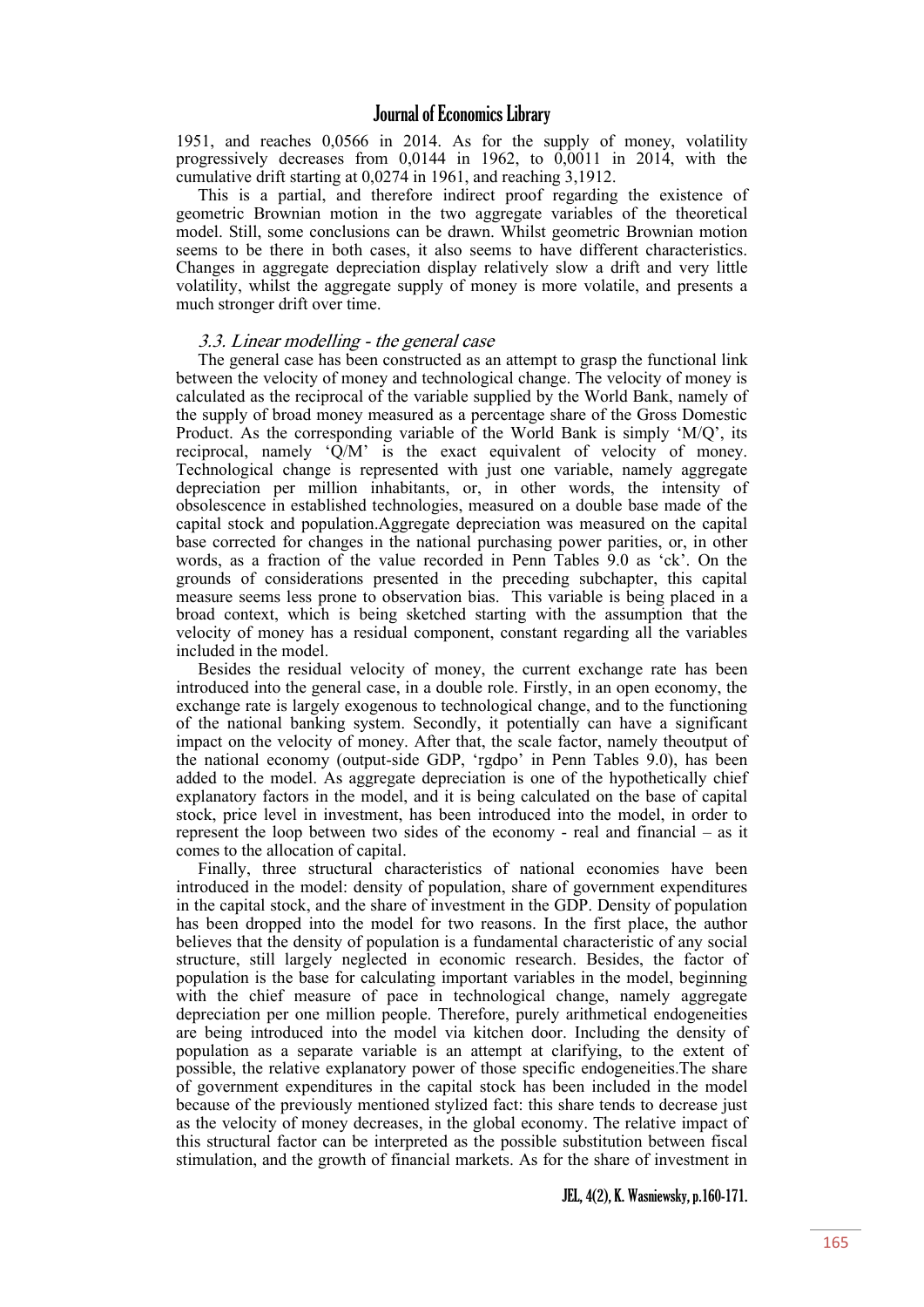1951, and reaches 0,0566 in 2014. As for the supply of money, volatility progressively decreases from  $0,0144$  in 1962, to  $0,0011$  in 2014, with the cumulative drift starting at 0,0274 in 1961, and reaching 3,1912.

This is a partial, and therefore indirect proof regarding the existence of geometric Brownian motion in the two aggregate variables of the theoretical model. Still, some conclusions can be drawn. Whilst geometric Brownian motion seems to be there in both cases, it also seems to have different characteristics. Changes in aggregate depreciation display relatively slow a drift and very little volatility, whilst the aggregate supply of money is more volatile, and presents a much stronger drift over time.

#### 3.3. Linear modelling - the general case

The general case has been constructed as an attempt to grasp the functional link between the velocity of money and technological change. The velocity of money is calculated as the reciprocal of the variable supplied by the World Bank, namely of the supply of broad money measured as a percentage share of the Gross Domestic Product. As the corresponding variable of the World Bank is simply 'M/Q', its reciprocal, namely  $\hat{Q}/M'$  is the exact equivalent of velocity of money. Technological change is represented with just one variable, namely aggregate depreciation per million inhabitants, or, in other words, the intensity of obsolescence in established technologies, measured on a double base made of the capital stock and population.Aggregate depreciation was measured on the capital base corrected for changes in the national purchasing power parities, or, in other words, as a fraction of the value recorded in Penn Tables 9.0 as 'ck'. On the grounds of considerations presented in the preceding subchapter, this capital measure seems less prone to observation bias. This variable is being placed in a broad context, which is being sketched starting with the assumption that the velocity of money has a residual component, constant regarding all the variables included in the model.

Besides the residual velocity of money, the current exchange rate has been introduced into the general case, in a double role. Firstly, in an open economy, the exchange rate is largely exogenous to technological change, and to the functioning of the national banking system. Secondly, it potentially can have a significant impact on the velocity of money. After that, the scale factor, namely theoutput of the national economy (output-side GDP, 'rgdpo' in Penn Tables 9.0), has been added to the model. As aggregate depreciation is one of the hypothetically chief explanatory factors in the model, and it is being calculated on the base of capital stock, price level in investment, has been introduced into the model, in order to represent the loop between two sides of the economy - real and financial – as it comes to the allocation of capital.

Finally, three structural characteristics of national economies have been introduced in the model: density of population, share of government expenditures in the capital stock, and the share of investment in the GDP. Density of population has been dropped into the model for two reasons. In the first place, the author believes that the density of population is a fundamental characteristic of any social structure, still largely neglected in economic research. Besides, the factor of population is the base for calculating important variables in the model, beginning with the chief measure of pace in technological change, namely aggregate depreciation per one million people. Therefore, purely arithmetical endogeneities are being introduced into the model via kitchen door. Including the density of population as a separate variable is an attempt at clarifying, to the extent of possible, the relative explanatory power of those specific endogeneities.The share of government expenditures in the capital stock has been included in the model because of the previously mentioned stylized fact: this share tends to decrease just as the velocity of money decreases, in the global economy. The relative impact of this structural factor can be interpreted as the possible substitution between fiscal stimulation, and the growth of financial markets. As for the share of investment in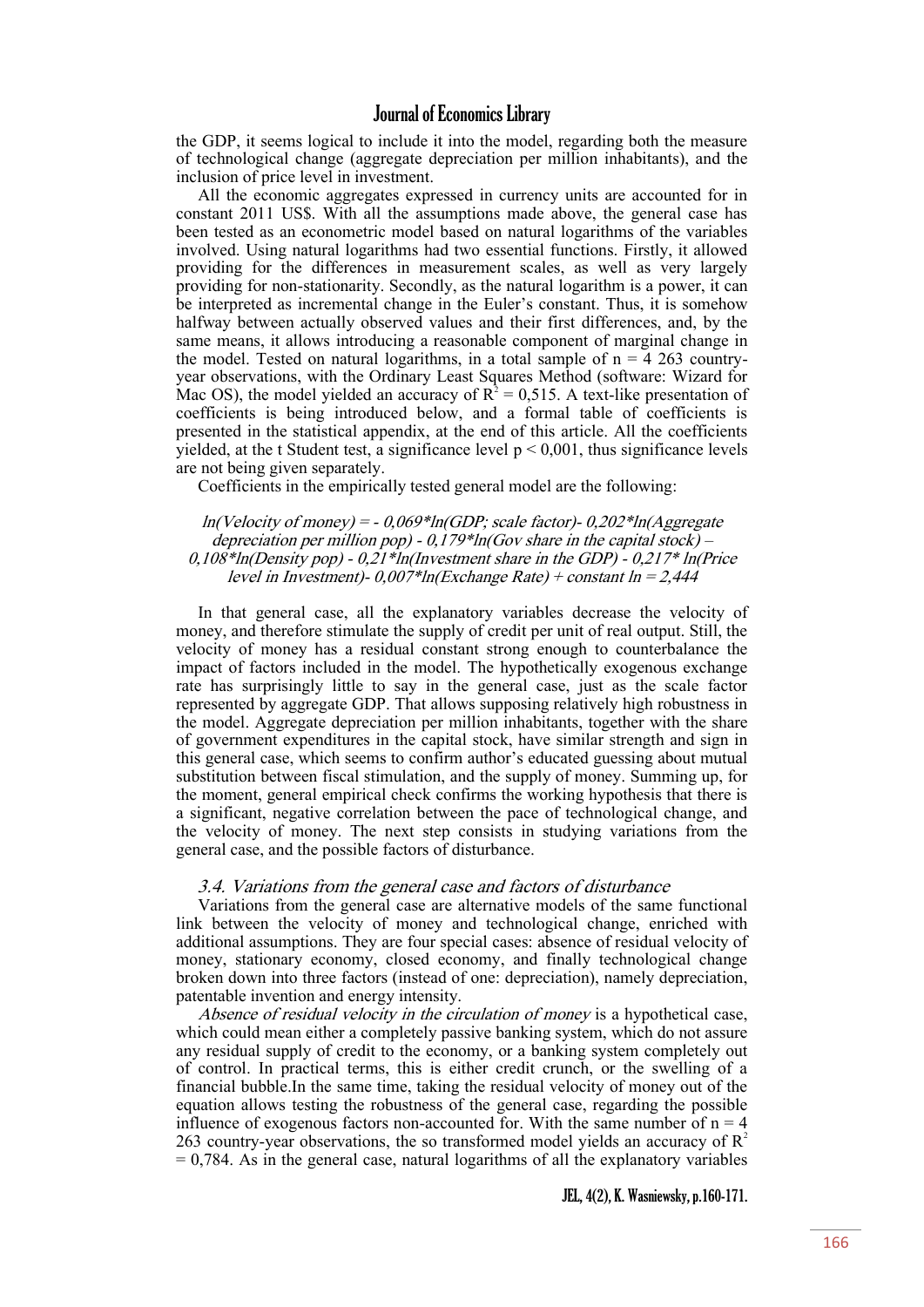the GDP, it seems logical to include it into the model, regarding both the measure of technological change (aggregate depreciation per million inhabitants), and the inclusion of price level in investment.

All the economic aggregates expressed in currency units are accounted for in constant 2011 US\$. With all the assumptions made above, the general case has been tested as an econometric model based on natural logarithms of the variables involved. Using natural logarithms had two essential functions. Firstly, it allowed providing for the differences in measurement scales, as well as very largely providing for non-stationarity. Secondly, as the natural logarithm is a power, it can be interpreted as incremental change in the Euler's constant. Thus, it is somehow halfway between actually observed values and their first differences, and, by the same means, it allows introducing a reasonable component of marginal change in the model. Tested on natural logarithms, in a total sample of  $n = 4,263$  countryyear observations, with the Ordinary Least Squares Method (software: Wizard for Mac OS), the model yielded an accuracy of  $R^2 = 0.515$ . A text-like presentation of coefficients is being introduced below, and a formal table of coefficients is presented in the statistical appendix, at the end of this article. All the coefficients yielded, at the t Student test, a significance level  $p < 0.001$ , thus significance levels are not being given separately.

Coefficients in the empirically tested general model are the following:

ln(Velocity of money) = - 0,069\*ln(GDP; scale factor)- 0,202\*ln(Aggregate depreciation per million pop) - 0,179\*ln(Gov share in the capital stock) –  $0,108*$ ln(Density pop) -  $0,21*$ ln(Investment share in the GDP) -  $0,217*$  ln(Price level in Investment)-  $0.007*$ ln(Exchange Rate) + constant ln = 2,444

In that general case, all the explanatory variables decrease the velocity of money, and therefore stimulate the supply of credit per unit of real output. Still, the velocity of money has a residual constant strong enough to counterbalance the impact of factors included in the model. The hypothetically exogenous exchange rate has surprisingly little to say in the general case, just as the scale factor represented by aggregate GDP. That allows supposing relatively high robustness in the model. Aggregate depreciation per million inhabitants, together with the share of government expenditures in the capital stock, have similar strength and sign in this general case, which seems to confirm author's educated guessing about mutual substitution between fiscal stimulation, and the supply of money. Summing up, for the moment, general empirical check confirms the working hypothesis that there is a significant, negative correlation between the pace of technological change, and the velocity of money. The next step consists in studying variations from the general case, and the possible factors of disturbance.

#### 3.4. Variations from the general case and factors of disturbance

Variations from the general case are alternative models of the same functional link between the velocity of money and technological change, enriched with additional assumptions. They are four special cases: absence of residual velocity of money, stationary economy, closed economy, and finally technological change broken down into three factors (instead of one: depreciation), namely depreciation, patentable invention and energy intensity.

Absence of residual velocity in the circulation of money is a hypothetical case, which could mean either a completely passive banking system, which do not assure any residual supply of credit to the economy, or a banking system completely out of control. In practical terms, this is either credit crunch, or the swelling of a financial bubble.In the same time, taking the residual velocity of money out of the equation allows testing the robustness of the general case, regarding the possible influence of exogenous factors non-accounted for. With the same number of  $n = 4$ 263 country-year observations, the so transformed model yields an accuracy of  $R^2$  $= 0.784$ . As in the general case, natural logarithms of all the explanatory variables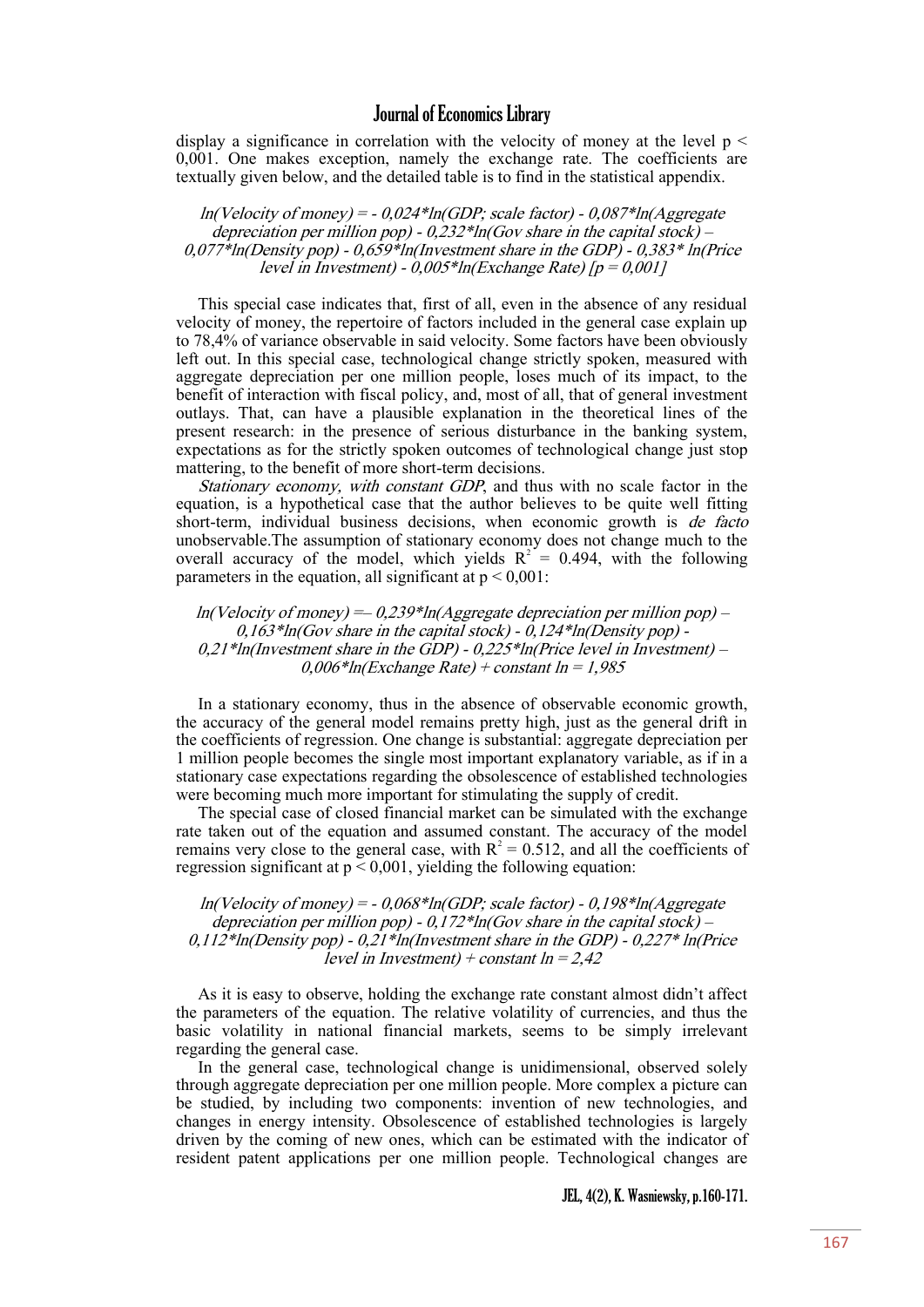display a significance in correlation with the velocity of money at the level  $p <$ 0,001. One makes exception, namely the exchange rate. The coefficients are textually given below, and the detailed table is to find in the statistical appendix.

ln(Velocity of money) = - 0,024\*ln(GDP; scale factor) - 0,087\*ln(Aggregate depreciation per million pop) -  $0.232*$ ln(Gov share in the capital stock) –  $0.077*$ ln(Density pop) -  $0.659*$ ln(Investment share in the GDP) -  $0.383*$ ln(Price level in Investment) -  $0.005*$ ln(Exchange Rate) [ $p = 0.001$ ]

This special case indicates that, first of all, even in the absence of any residual velocity of money, the repertoire of factors included in the general case explain up to 78,4% of variance observable in said velocity. Some factors have been obviously left out. In this special case, technological change strictly spoken, measured with aggregate depreciation per one million people, loses much of its impact, to the benefit of interaction with fiscal policy, and, most of all, that of general investment outlays. That, can have a plausible explanation in the theoretical lines of the present research: in the presence of serious disturbance in the banking system, expectations as for the strictly spoken outcomes of technological change just stop mattering, to the benefit of more short-term decisions.

Stationary economy, with constant GDP, and thus with no scale factor in the equation, is a hypothetical case that the author believes to be quite well fitting short-term, individual business decisions, when economic growth is de facto unobservable.The assumption of stationary economy does not change much to the overall accuracy of the model, which yields  $R^2 = 0.494$ , with the following parameters in the equation, all significant at  $p < 0.001$ :

 $ln(Velocity of money) = 0.239*ln(Aggregate depreciation per million pop) -$ 0,163\*ln(Gov share in the capital stock) - 0,124\*ln(Density pop) -  $0.21*$ ln(Investment share in the GDP) -  $0.225*$ ln(Price level in Investment) –  $0,006*$ ln(Exchange Rate) + constant  $ln = 1,985$ 

In a stationary economy, thus in the absence of observable economic growth, the accuracy of the general model remains pretty high, just as the general drift in the coefficients of regression. One change is substantial: aggregate depreciation per 1 million people becomes the single most important explanatory variable, as if in a stationary case expectations regarding the obsolescence of established technologies were becoming much more important for stimulating the supply of credit.

The special case of closed financial market can be simulated with the exchange rate taken out of the equation and assumed constant. The accuracy of the model remains very close to the general case, with  $R^2 = 0.512$ , and all the coefficients of regression significant at  $p < 0.001$ , yielding the following equation:

 $ln(Velocity of money) = -0.068*ln(GDP; scale factor) - 0.198*ln(Aggregate)$ depreciation per million pop) -  $0.172*$ ln(Gov share in the capital stock) –  $0.112*$ ln(Density pop) -  $0.21*$ ln(Investment share in the GDP) -  $0.227*$  ln(Price level in Investment) + constant  $ln = 2.42$ 

As it is easy to observe, holding the exchange rate constant almost didn't affect the parameters of the equation. The relative volatility of currencies, and thus the basic volatility in national financial markets, seems to be simply irrelevant regarding the general case.

In the general case, technological change is unidimensional, observed solely through aggregate depreciation per one million people. More complex a picture can be studied, by including two components: invention of new technologies, and changes in energy intensity. Obsolescence of established technologies is largely driven by the coming of new ones, which can be estimated with the indicator of resident patent applications per one million people. Technological changes are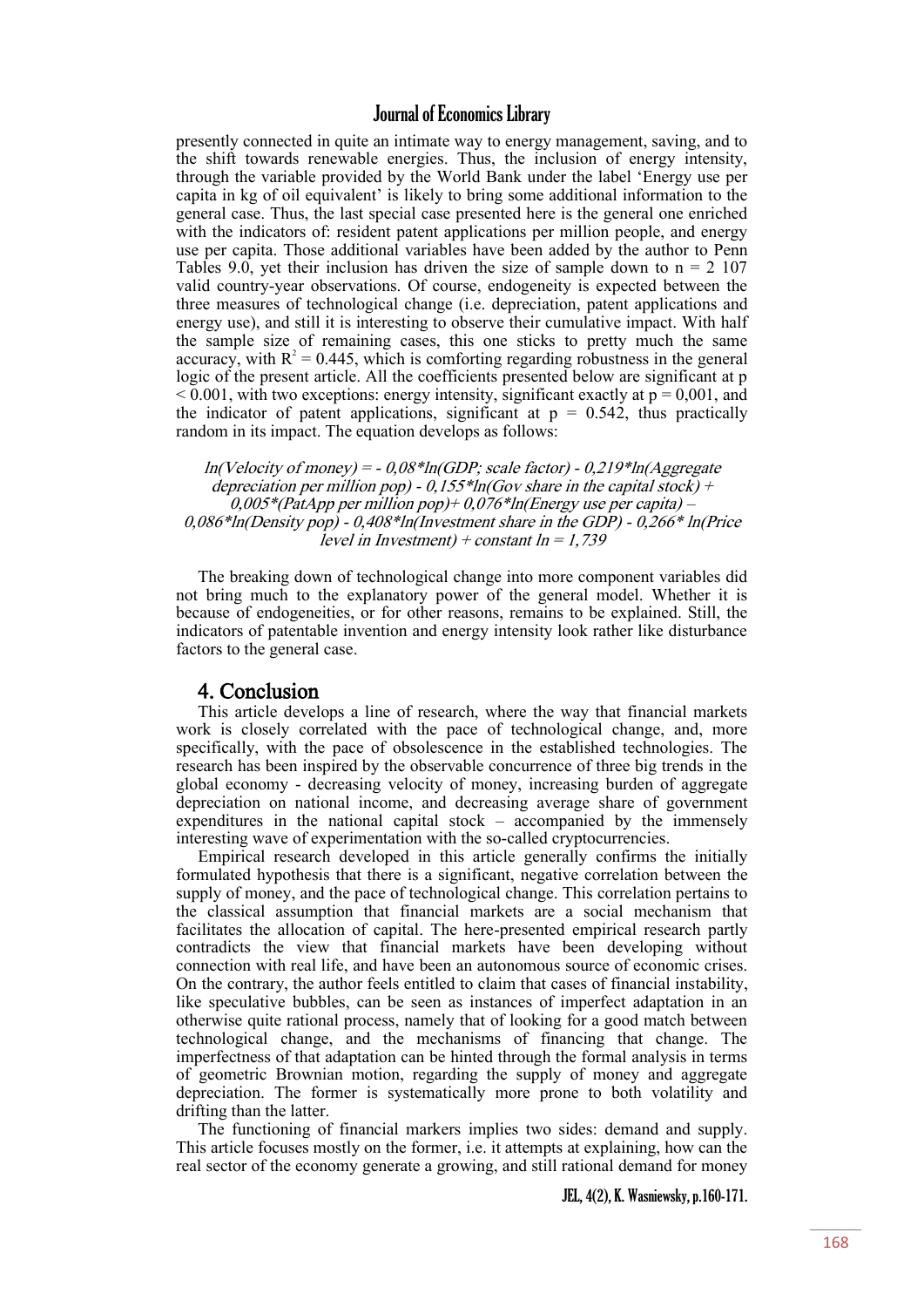presently connected in quite an intimate way to energy management, saving, and to the shift towards renewable energies. Thus, the inclusion of energy intensity, through the variable provided by the World Bank under the label 'Energy use per capita in kg of oil equivalent' is likely to bring some additional information to the general case. Thus, the last special case presented here is the general one enriched with the indicators of: resident patent applications per million people, and energy use per capita. Those additional variables have been added by the author to Penn Tables 9.0, yet their inclusion has driven the size of sample down to  $n = 2$  107 valid country-year observations. Of course, endogeneity is expected between the three measures of technological change (i.e. depreciation, patent applications and energy use), and still it is interesting to observe their cumulative impact. With half the sample size of remaining cases, this one sticks to pretty much the same accuracy, with  $R^2 = 0.445$ , which is comforting regarding robustness in the general logic of the present article. All the coefficients presented below are significant at p  $< 0.001$ , with two exceptions: energy intensity, significant exactly at  $p = 0.001$ , and the indicator of patent applications, significant at  $p = 0.542$ , thus practically random in its impact. The equation develops as follows:

 $ln(Velocity of money) = -0.08*ln(GDP; scale factor) - 0.219*ln(Aggregate)$ depreciation per million pop) - 0.155\*ln(Gov share in the capital stock) + 0,005\*(PatApp per million pop)+ 0,076\*ln(Energy use per capita) – 0,086\*ln(Density pop) - 0,408\*ln(Investment share in the GDP) - 0,266\* ln(Price level in Investment) + constant  $ln = 1,739$ 

The breaking down of technological change into more component variables did not bring much to the explanatory power of the general model. Whether it is because of endogeneities, or for other reasons, remains to be explained. Still, the indicators of patentable invention and energy intensity look rather like disturbance factors to the general case.

4. Conclusion This article develops a line of research, where the way that financial markets work is closely correlated with the pace of technological change, and, more specifically, with the pace of obsolescence in the established technologies. The research has been inspired by the observable concurrence of three big trends in the global economy - decreasing velocity of money, increasing burden of aggregate depreciation on national income, and decreasing average share of government expenditures in the national capital stock – accompanied by the immensely interesting wave of experimentation with the so-called cryptocurrencies.

Empirical research developed in this article generally confirms the initially formulated hypothesis that there is a significant, negative correlation between the supply of money, and the pace of technological change. This correlation pertains to the classical assumption that financial markets are a social mechanism that facilitates the allocation of capital. The here-presented empirical research partly contradicts the view that financial markets have been developing without connection with real life, and have been an autonomous source of economic crises. On the contrary, the author feels entitled to claim that cases of financial instability, like speculative bubbles, can be seen as instances of imperfect adaptation in an otherwise quite rational process, namely that of looking for a good match between technological change, and the mechanisms of financing that change. The imperfectness of that adaptation can be hinted through the formal analysis in terms of geometric Brownian motion, regarding the supply of money and aggregate depreciation. The former is systematically more prone to both volatility and drifting than the latter.

The functioning of financial markers implies two sides: demand and supply. This article focuses mostly on the former, i.e. it attempts at explaining, how can the real sector of the economy generate a growing, and still rational demand for money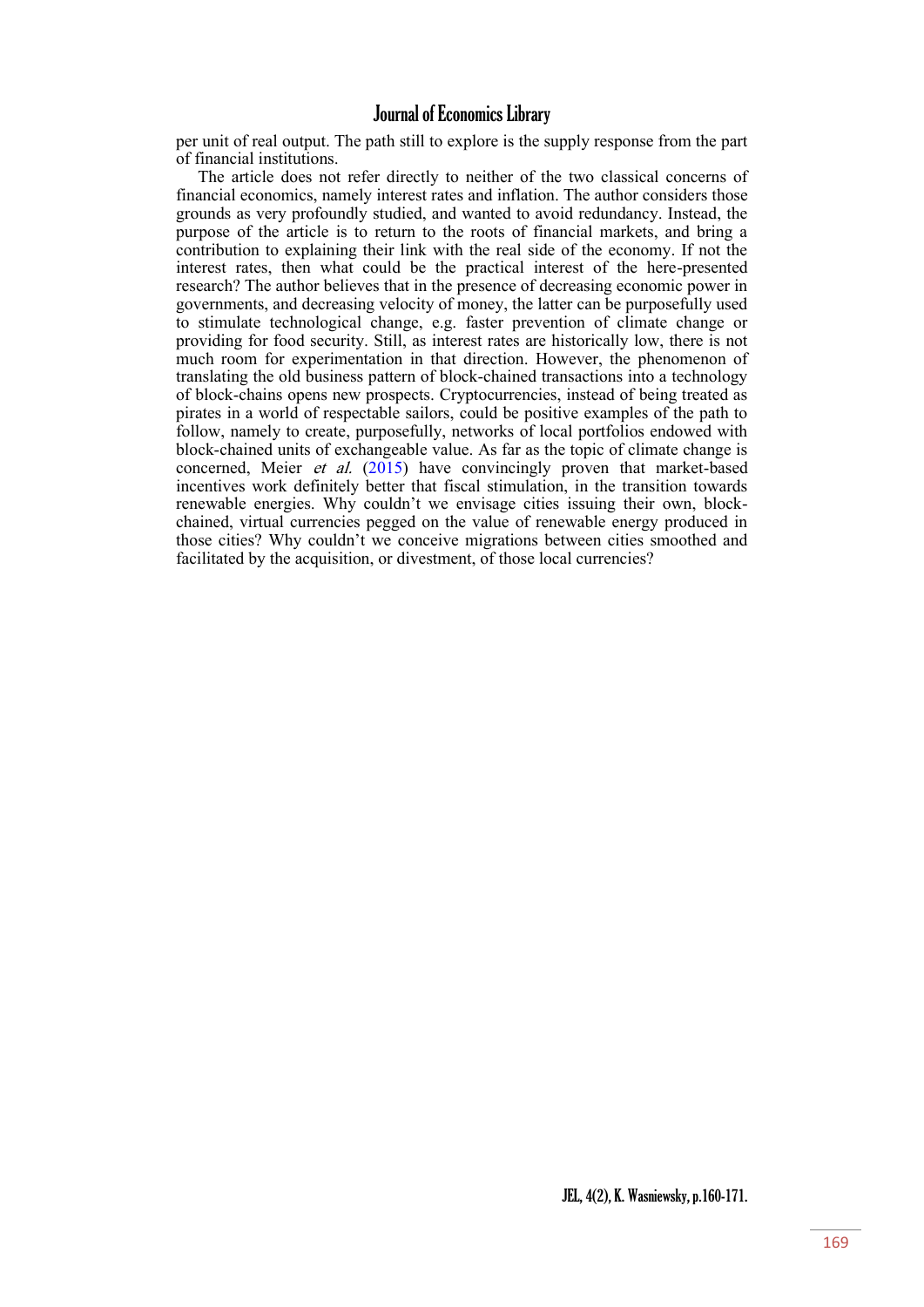per unit of real output. The path still to explore is the supply response from the part of financial institutions.

The article does not refer directly to neither of the two classical concerns of financial economics, namely interest rates and inflation. The author considers those grounds as very profoundly studied, and wanted to avoid redundancy. Instead, the purpose of the article is to return to the roots of financial markets, and bring a contribution to explaining their link with the real side of the economy. If not the interest rates, then what could be the practical interest of the here-presented research? The author believes that in the presence of decreasing economic power in governments, and decreasing velocity of money, the latter can be purposefully used to stimulate technological change, e.g. faster prevention of climate change or providing for food security. Still, as interest rates are historically low, there is not much room for experimentation in that direction. However, the phenomenon of translating the old business pattern of block-chained transactions into a technology of block-chains opens new prospects. Cryptocurrencies, instead of being treated as pirates in a world of respectable sailors, could be positive examples of the path to follow, namely to create, purposefully, networks of local portfolios endowed with block-chained units of exchangeable value. As far as the topic of climate change is concerned, Meier *et al.* (2015) have convincingly proven that market-based incentives work definitely better that fiscal stimulation, in the transition towards renewable energies. Why couldn't we envisage cities issuing their own, blockchained, virtual currencies pegged on the value of renewable energy produced in those cities? Why couldn't we conceive migrations between cities smoothed and facilitated by the acquisition, or divestment, of those local currencies?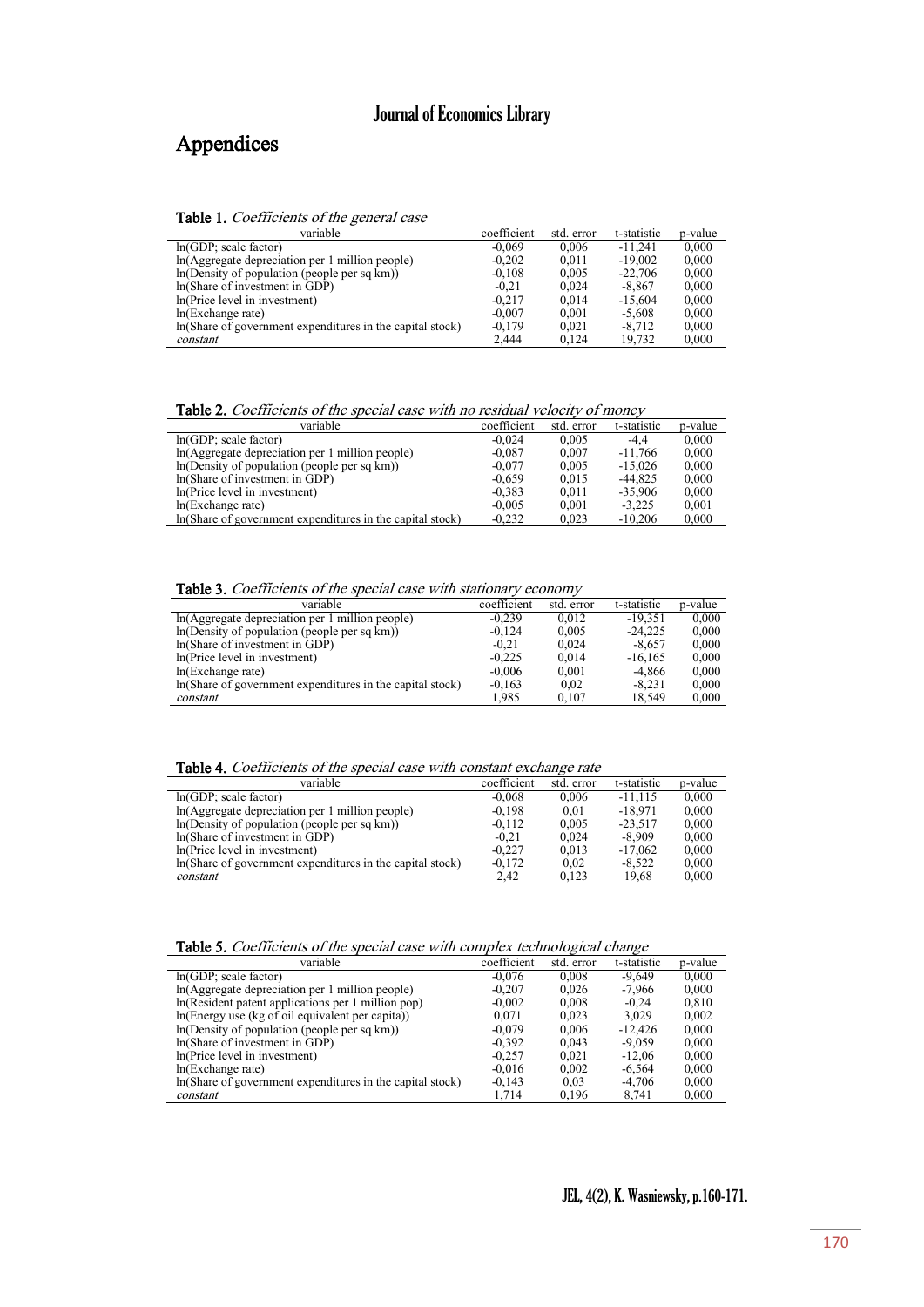## Appendices

| Table 1. Coefficients of the general case |
|-------------------------------------------|
|-------------------------------------------|

| Table 1. Coefficients of the general case                  |             |            |             |         |
|------------------------------------------------------------|-------------|------------|-------------|---------|
| variable                                                   | coefficient | std. error | t-statistic | p-value |
| ln(GDP; scale factor)                                      | $-0.069$    | 0.006      | $-11.241$   | 0.000   |
| In (Aggregate depreciation per 1 million people)           | $-0.202$    | 0.011      | $-19.002$   | 0.000   |
| $ln(Density of population (people per sq km))$             | $-0,108$    | 0,005      | $-22,706$   | 0.000   |
| ln(Share of investment in GDP)                             | $-0.21$     | 0.024      | $-8,867$    | 0,000   |
| In (Price level in investment)                             | $-0.217$    | 0.014      | $-15,604$   | 0,000   |
| ln(Exchange rate)                                          | $-0.007$    | 0.001      | $-5.608$    | 0,000   |
| In (Share of government expenditures in the capital stock) | $-0.179$    | 0.021      | $-8.712$    | 0.000   |
| constant                                                   | 2.444       | 0.124      | 19.732      | 0.000   |

Table 2. Coefficients of the special case with no residual velocity of money

| <b>Table 2.</b> Cochilentis of the special case with ho residual velocity of money |             |            |             |         |
|------------------------------------------------------------------------------------|-------------|------------|-------------|---------|
| variable                                                                           | coefficient | std. error | t-statistic | p-value |
| ln(GDP; scale factor)                                                              | $-0.024$    | 0.005      | $-4.4$      | 0.000   |
| ln(Aggregate depreciation per 1 million people)                                    | $-0.087$    | 0.007      | $-11.766$   | 0,000   |
| $ln(Density of population (people per sq km))$                                     | $-0.077$    | 0.005      | $-15.026$   | 0.000   |
| ln(Share of investment in GDP)                                                     | $-0.659$    | 0.015      | -44.825     | 0.000   |
| In (Price level in investment)                                                     | $-0.383$    | 0.011      | $-35.906$   | 0.000   |
| ln(Exchange rate)                                                                  | $-0.005$    | 0.001      | $-3.225$    | 0.001   |
| ln(Share of government expenditures in the capital stock)                          | $-0.232$    | 0.023      | $-10.206$   | 0.000   |

Table 3. Coefficients of the special case with stationary economy

| variable                                                  | coefficient | std. error | t-statistic | p-value |
|-----------------------------------------------------------|-------------|------------|-------------|---------|
| ln(Aggregate depreciation per 1 million people)           | $-0.239$    | 0.012      | $-19.351$   | 0.000   |
| $ln(Density of population (people per sq km))$            | $-0.124$    | 0.005      | $-24.225$   | 0.000   |
| ln(Share of investment in GDP)                            | $-0.21$     | 0.024      | $-8.657$    | 0.000   |
| ln(Price level in investment)                             | $-0.225$    | 0.014      | $-16,165$   | 0.000   |
| $ln(Exchange\ rate)$                                      | $-0.006$    | 0.001      | $-4.866$    | 0.000   |
| ln(Share of government expenditures in the capital stock) | $-0,163$    | 0.02       | $-8.231$    | 0.000   |
| constant                                                  | 1.985       | 0.107      | 18,549      | 0.000   |

Table 4. Coefficients of the special case with constant exchange rate

| variable                                                  | coefficient | std. error | t-statistic | p-value |
|-----------------------------------------------------------|-------------|------------|-------------|---------|
| ln(GDP; scale factor)                                     | $-0.068$    | 0.006      | $-11.115$   | 0.000   |
| ln(Aggregate depreciation per 1 million people)           | $-0.198$    | 0.01       | $-18.971$   | 0,000   |
| $ln(Density of population (people per sq km))$            | $-0.112$    | 0.005      | $-23.517$   | 0,000   |
| ln(Share of investment in GDP)                            | $-0.21$     | 0.024      | $-8.909$    | 0.000   |
| In (Price level in investment)                            | $-0.227$    | 0.013      | $-17,062$   | 0.000   |
| ln(Share of government expenditures in the capital stock) | $-0.172$    | 0.02       | $-8.522$    | 0,000   |
| constant                                                  | 2.42        | 0.123      | 19.68       | 0,000   |

Table 5. Coefficients of the special case with complex technological change

| variable                                                   | coefficient | std. error | t-statistic | p-value |
|------------------------------------------------------------|-------------|------------|-------------|---------|
| ln(GDP; scale factor)                                      | $-0.076$    | 0.008      | -9.649      | 0.000   |
| ln(Aggregate depreciation per 1 million people)            | $-0.207$    | 0.026      | $-7.966$    | 0.000   |
| ln(Resident patent applications per 1 million pop)         | $-0,002$    | 0.008      | $-0.24$     | 0.810   |
| ln(Energy use (kg of oil equivalent per capita))           | 0.071       | 0.023      | 3.029       | 0,002   |
| $ln(Density of population (people per sq km))$             | $-0.079$    | 0.006      | $-12.426$   | 0,000   |
| ln(Share of investment in GDP)                             | $-0.392$    | 0.043      | $-9.059$    | 0.000   |
| In (Price level in investment)                             | $-0.257$    | 0.021      | $-12.06$    | 0,000   |
| ln(Exchange rate)                                          | $-0.016$    | 0.002      | $-6.564$    | 0,000   |
| In (Share of government expenditures in the capital stock) | $-0.143$    | 0.03       | -4.706      | 0,000   |
| constant                                                   | 1.714       | 0.196      | 8.741       | 0.000   |